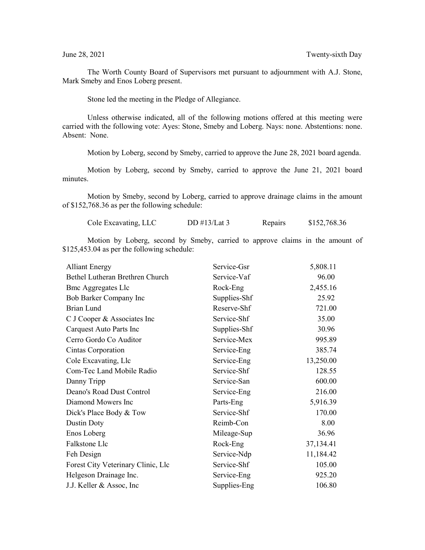The Worth County Board of Supervisors met pursuant to adjournment with A.J. Stone, Mark Smeby and Enos Loberg present.

Stone led the meeting in the Pledge of Allegiance.

Unless otherwise indicated, all of the following motions offered at this meeting were carried with the following vote: Ayes: Stone, Smeby and Loberg. Nays: none. Abstentions: none. Absent: None.

Motion by Loberg, second by Smeby, carried to approve the June 28, 2021 board agenda.

Motion by Loberg, second by Smeby, carried to approve the June 21, 2021 board minutes.

Motion by Smeby, second by Loberg, carried to approve drainage claims in the amount of \$152,768.36 as per the following schedule:

| Cole Excavating, LLC | DD $\#13/Lat3$ | Repairs | \$152,768.36 |
|----------------------|----------------|---------|--------------|
|                      |                |         |              |

Motion by Loberg, second by Smeby, carried to approve claims in the amount of \$125,453.04 as per the following schedule:

| <b>Alliant Energy</b>              | Service-Gsr  | 5,808.11  |
|------------------------------------|--------------|-----------|
| Bethel Lutheran Brethren Church    | Service-Vaf  | 96.00     |
| <b>Bmc Aggregates Llc</b>          | Rock-Eng     | 2,455.16  |
| Bob Barker Company Inc             | Supplies-Shf | 25.92     |
| <b>Brian Lund</b>                  | Reserve-Shf  | 721.00    |
| C J Cooper & Associates Inc        | Service-Shf  | 35.00     |
| Carquest Auto Parts Inc            | Supplies-Shf | 30.96     |
| Cerro Gordo Co Auditor             | Service-Mex  | 995.89    |
| Cintas Corporation                 | Service-Eng  | 385.74    |
| Cole Excavating, Llc               | Service-Eng  | 13,250.00 |
| Com-Tec Land Mobile Radio          | Service-Shf  | 128.55    |
| Danny Tripp                        | Service-San  | 600.00    |
| Deano's Road Dust Control          | Service-Eng  | 216.00    |
| Diamond Mowers Inc                 | Parts-Eng    | 5,916.39  |
| Dick's Place Body & Tow            | Service-Shf  | 170.00    |
| Dustin Doty                        | Reimb-Con    | 8.00      |
| Enos Loberg                        | Mileage-Sup  | 36.96     |
| Falkstone Llc                      | Rock-Eng     | 37,134.41 |
| Feh Design                         | Service-Ndp  | 11,184.42 |
| Forest City Veterinary Clinic, Llc | Service-Shf  | 105.00    |
| Helgeson Drainage Inc.             | Service-Eng  | 925.20    |
| J.J. Keller & Assoc, Inc.          | Supplies-Eng | 106.80    |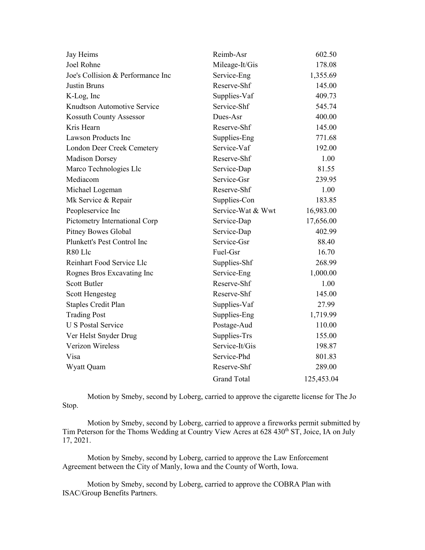| Jay Heims                         | Reimb-Asr          | 602.50     |
|-----------------------------------|--------------------|------------|
| Joel Rohne                        | Mileage-It/Gis     | 178.08     |
| Joe's Collision & Performance Inc | Service-Eng        | 1,355.69   |
| Justin Bruns                      | Reserve-Shf        | 145.00     |
| K-Log, Inc                        | Supplies-Vaf       | 409.73     |
| Knudtson Automotive Service       | Service-Shf        | 545.74     |
| Kossuth County Assessor           | Dues-Asr           | 400.00     |
| Kris Hearn                        | Reserve-Shf        | 145.00     |
| <b>Lawson Products Inc</b>        | Supplies-Eng       | 771.68     |
| London Deer Creek Cemetery        | Service-Vaf        | 192.00     |
| <b>Madison Dorsey</b>             | Reserve-Shf        | 1.00       |
| Marco Technologies Llc            | Service-Dap        | 81.55      |
| Mediacom                          | Service-Gsr        | 239.95     |
| Michael Logeman                   | Reserve-Shf        | 1.00       |
| Mk Service & Repair               | Supplies-Con       | 183.85     |
| Peopleservice Inc                 | Service-Wat & Wwt  | 16,983.00  |
| Pictometry International Corp     | Service-Dap        | 17,656.00  |
| <b>Pitney Bowes Global</b>        | Service-Dap        | 402.99     |
| Plunkett's Pest Control Inc       | Service-Gsr        | 88.40      |
| R80 Llc                           | Fuel-Gsr           | 16.70      |
| Reinhart Food Service Llc         | Supplies-Shf       | 268.99     |
| Rognes Bros Excavating Inc        | Service-Eng        | 1,000.00   |
| <b>Scott Butler</b>               | Reserve-Shf        | 1.00       |
| Scott Hengesteg                   | Reserve-Shf        | 145.00     |
| <b>Staples Credit Plan</b>        | Supplies-Vaf       | 27.99      |
| <b>Trading Post</b>               | Supplies-Eng       | 1,719.99   |
| <b>U S Postal Service</b>         | Postage-Aud        | 110.00     |
| Ver Helst Snyder Drug             | Supplies-Trs       | 155.00     |
| Verizon Wireless                  | Service-It/Gis     | 198.87     |
| Visa                              | Service-Phd        | 801.83     |
| Wyatt Quam                        | Reserve-Shf        | 289.00     |
|                                   | <b>Grand Total</b> | 125,453.04 |

Motion by Smeby, second by Loberg, carried to approve the cigarette license for The Jo Stop.

Motion by Smeby, second by Loberg, carried to approve a fireworks permit submitted by Tim Peterson for the Thoms Wedding at Country View Acres at 628 430<sup>th</sup> ST, Joice, IA on July 17, 2021.

Motion by Smeby, second by Loberg, carried to approve the Law Enforcement Agreement between the City of Manly, Iowa and the County of Worth, Iowa.

 Motion by Smeby, second by Loberg, carried to approve the COBRA Plan with ISAC/Group Benefits Partners.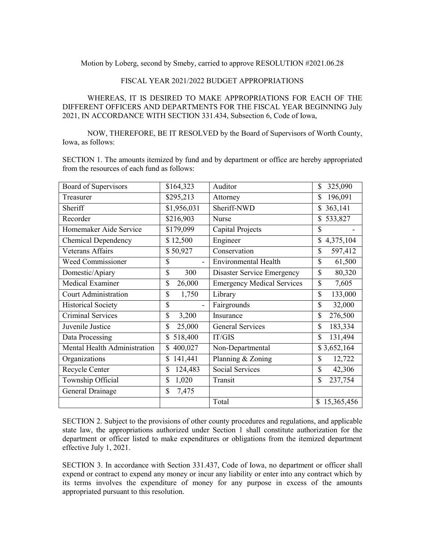Motion by Loberg, second by Smeby, carried to approve RESOLUTION #2021.06.28

## FISCAL YEAR 2021/2022 BUDGET APPROPRIATIONS

WHEREAS, IT IS DESIRED TO MAKE APPROPRIATIONS FOR EACH OF THE DIFFERENT OFFICERS AND DEPARTMENTS FOR THE FISCAL YEAR BEGINNING July 2021, IN ACCORDANCE WITH SECTION 331.434, Subsection 6, Code of Iowa,

NOW, THEREFORE, BE IT RESOLVED by the Board of Supervisors of Worth County, Iowa, as follows:

SECTION 1. The amounts itemized by fund and by department or office are hereby appropriated from the resources of each fund as follows:

| Board of Supervisors         | \$164,323     | Auditor                           | \$<br>325,090             |
|------------------------------|---------------|-----------------------------------|---------------------------|
| Treasurer                    | \$295,213     | Attorney                          | \$<br>196,091             |
| Sheriff                      | \$1,956,031   | Sheriff-NWD                       | 363,141<br>\$             |
| Recorder                     | \$216,903     | Nurse                             | \$<br>533,827             |
| Homemaker Aide Service       | \$179,099     | Capital Projects                  | \$                        |
| <b>Chemical Dependency</b>   | \$12,500      | Engineer                          | $\mathbb{S}$<br>4,375,104 |
| Veterans Affairs             | \$50,927      | Conservation                      | \$<br>597,412             |
| <b>Weed Commissioner</b>     | \$            | <b>Environmental Health</b>       | \$<br>61,500              |
| Domestic/Apiary              | \$<br>300     | Disaster Service Emergency        | \$<br>80,320              |
| <b>Medical Examiner</b>      | \$<br>26,000  | <b>Emergency Medical Services</b> | \$<br>7,605               |
| <b>Court Administration</b>  | \$<br>1,750   | Library                           | \$<br>133,000             |
| <b>Historical Society</b>    | \$            | Fairgrounds                       | \$<br>32,000              |
| <b>Criminal Services</b>     | \$<br>3,200   | Insurance                         | \$<br>276,500             |
| Juvenile Justice             | \$<br>25,000  | <b>General Services</b>           | \$<br>183,334             |
| Data Processing              | 518,400<br>\$ | IT/GIS                            | \$<br>131,494             |
| Mental Health Administration | 400,027<br>\$ | Non-Departmental                  | \$3,652,164               |
| Organizations                | \$<br>141,441 | Planning & Zoning                 | \$<br>12,722              |
| Recycle Center               | \$<br>124,483 | <b>Social Services</b>            | \$<br>42,306              |
| Township Official            | \$<br>1,020   | Transit                           | \$<br>237,754             |
| General Drainage             | \$<br>7,475   |                                   |                           |
|                              |               | Total                             | \$15,365,456              |

SECTION 2. Subject to the provisions of other county procedures and regulations, and applicable state law, the appropriations authorized under Section 1 shall constitute authorization for the department or officer listed to make expenditures or obligations from the itemized department effective July 1, 2021.

SECTION 3. In accordance with Section 331.437, Code of Iowa, no department or officer shall expend or contract to expend any money or incur any liability or enter into any contract which by its terms involves the expenditure of money for any purpose in excess of the amounts appropriated pursuant to this resolution.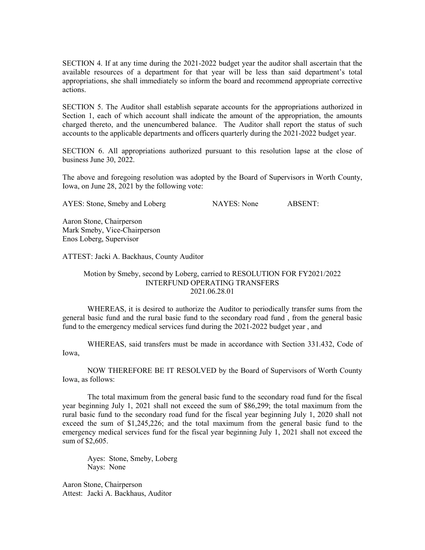SECTION 4. If at any time during the 2021-2022 budget year the auditor shall ascertain that the available resources of a department for that year will be less than said department's total appropriations, she shall immediately so inform the board and recommend appropriate corrective actions.

SECTION 5. The Auditor shall establish separate accounts for the appropriations authorized in Section 1, each of which account shall indicate the amount of the appropriation, the amounts charged thereto, and the unencumbered balance. The Auditor shall report the status of such accounts to the applicable departments and officers quarterly during the 2021-2022 budget year.

SECTION 6. All appropriations authorized pursuant to this resolution lapse at the close of business June 30, 2022.

The above and foregoing resolution was adopted by the Board of Supervisors in Worth County, Iowa, on June 28, 2021 by the following vote:

AYES: Stone, Smeby and Loberg NAYES: None ABSENT:

Aaron Stone, Chairperson Mark Smeby, Vice-Chairperson Enos Loberg, Supervisor

ATTEST: Jacki A. Backhaus, County Auditor

## Motion by Smeby, second by Loberg, carried to RESOLUTION FOR FY2021/2022 INTERFUND OPERATING TRANSFERS 2021.06.28.01

WHEREAS, it is desired to authorize the Auditor to periodically transfer sums from the general basic fund and the rural basic fund to the secondary road fund , from the general basic fund to the emergency medical services fund during the 2021-2022 budget year , and

WHEREAS, said transfers must be made in accordance with Section 331.432, Code of Iowa,

NOW THEREFORE BE IT RESOLVED by the Board of Supervisors of Worth County Iowa, as follows:

The total maximum from the general basic fund to the secondary road fund for the fiscal year beginning July 1, 2021 shall not exceed the sum of \$86,299; the total maximum from the rural basic fund to the secondary road fund for the fiscal year beginning July 1, 2020 shall not exceed the sum of \$1,245,226; and the total maximum from the general basic fund to the emergency medical services fund for the fiscal year beginning July 1, 2021 shall not exceed the sum of \$2,605.

Ayes: Stone, Smeby, Loberg Nays: None

Aaron Stone, Chairperson Attest: Jacki A. Backhaus, Auditor